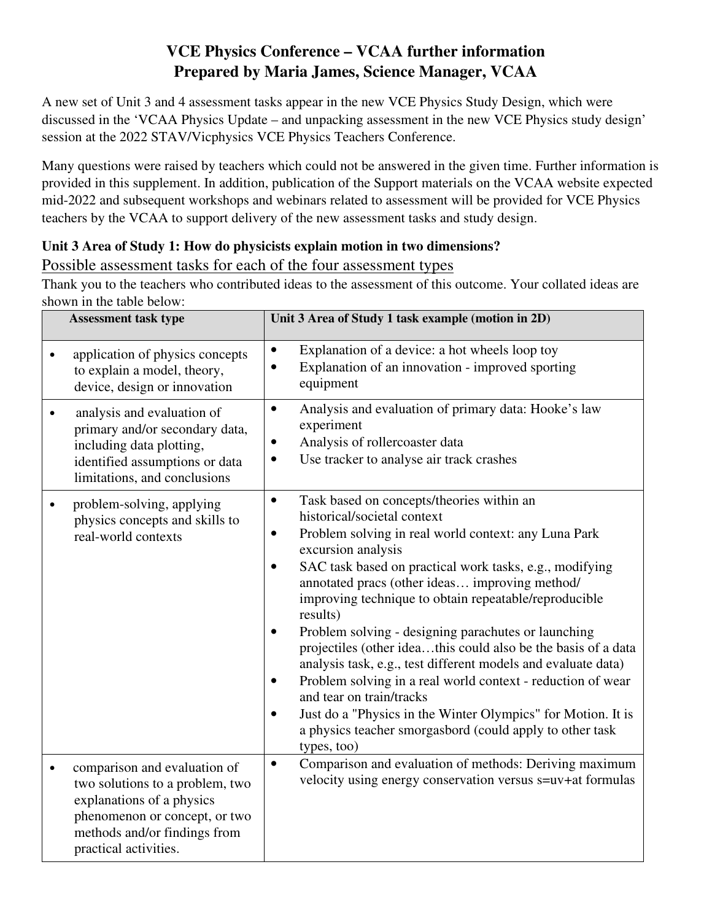# **VCE Physics Conference – VCAA further information Prepared by Maria James, Science Manager, VCAA**

A new set of Unit 3 and 4 assessment tasks appear in the new VCE Physics Study Design, which were discussed in the 'VCAA Physics Update – and unpacking assessment in the new VCE Physics study design' session at the 2022 STAV/Vicphysics VCE Physics Teachers Conference.

Many questions were raised by teachers which could not be answered in the given time. Further information is provided in this supplement. In addition, publication of the Support materials on the VCAA website expected mid-2022 and subsequent workshops and webinars related to assessment will be provided for VCE Physics teachers by the VCAA to support delivery of the new assessment tasks and study design.

## **Unit 3 Area of Study 1: How do physicists explain motion in two dimensions?**  Possible assessment tasks for each of the four assessment types

Thank you to the teachers who contributed ideas to the assessment of this outcome. Your collated ideas are shown in the table below:

| <b>Assessment task type</b>                                                                                                                                                                         | Unit 3 Area of Study 1 task example (motion in 2D)                                                                                                                                                                                                                                                                                                                                                                                                                                                                                                                                                                                                                                                                                                                                                          |
|-----------------------------------------------------------------------------------------------------------------------------------------------------------------------------------------------------|-------------------------------------------------------------------------------------------------------------------------------------------------------------------------------------------------------------------------------------------------------------------------------------------------------------------------------------------------------------------------------------------------------------------------------------------------------------------------------------------------------------------------------------------------------------------------------------------------------------------------------------------------------------------------------------------------------------------------------------------------------------------------------------------------------------|
| application of physics concepts<br>to explain a model, theory,<br>device, design or innovation                                                                                                      | Explanation of a device: a hot wheels loop toy<br>$\bullet$<br>Explanation of an innovation - improved sporting<br>$\bullet$<br>equipment                                                                                                                                                                                                                                                                                                                                                                                                                                                                                                                                                                                                                                                                   |
| analysis and evaluation of<br>$\bullet$<br>primary and/or secondary data,<br>including data plotting,<br>identified assumptions or data<br>limitations, and conclusions                             | Analysis and evaluation of primary data: Hooke's law<br>$\bullet$<br>experiment<br>Analysis of rollercoaster data<br>Use tracker to analyse air track crashes<br>$\bullet$                                                                                                                                                                                                                                                                                                                                                                                                                                                                                                                                                                                                                                  |
| problem-solving, applying<br>$\bullet$<br>physics concepts and skills to<br>real-world contexts                                                                                                     | Task based on concepts/theories within an<br>$\bullet$<br>historical/societal context<br>Problem solving in real world context: any Luna Park<br>٠<br>excursion analysis<br>SAC task based on practical work tasks, e.g., modifying<br>$\bullet$<br>annotated pracs (other ideas improving method/<br>improving technique to obtain repeatable/reproducible<br>results)<br>Problem solving - designing parachutes or launching<br>projectiles (other ideathis could also be the basis of a data<br>analysis task, e.g., test different models and evaluate data)<br>Problem solving in a real world context - reduction of wear<br>and tear on train/tracks<br>Just do a "Physics in the Winter Olympics" for Motion. It is<br>٠<br>a physics teacher smorgasbord (could apply to other task<br>types, too) |
| comparison and evaluation of<br>$\bullet$<br>two solutions to a problem, two<br>explanations of a physics<br>phenomenon or concept, or two<br>methods and/or findings from<br>practical activities. | Comparison and evaluation of methods: Deriving maximum<br>$\bullet$<br>velocity using energy conservation versus s=uv+at formulas                                                                                                                                                                                                                                                                                                                                                                                                                                                                                                                                                                                                                                                                           |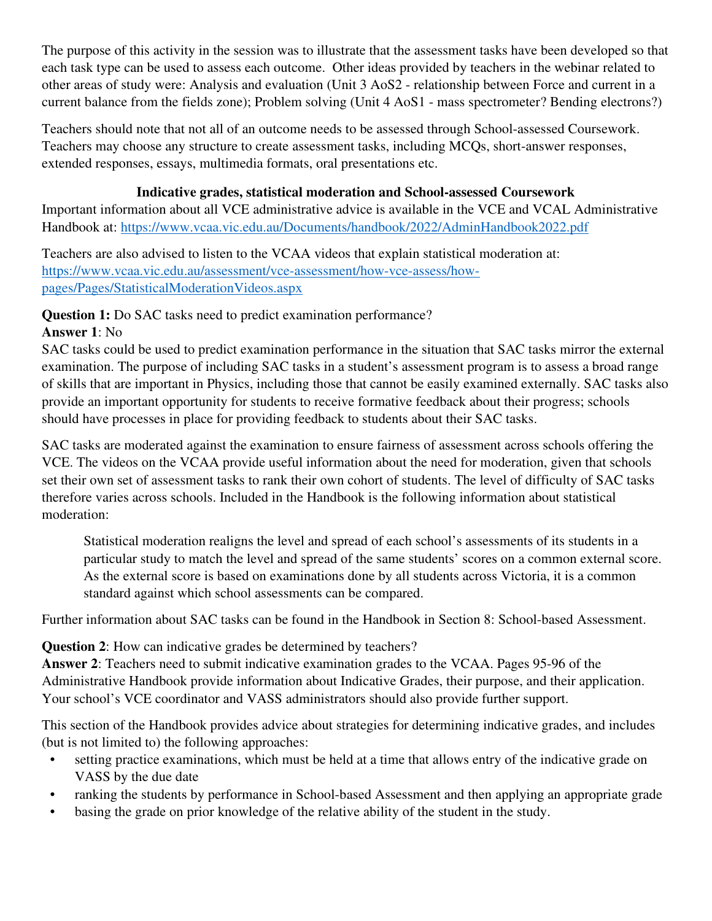The purpose of this activity in the session was to illustrate that the assessment tasks have been developed so that each task type can be used to assess each outcome. Other ideas provided by teachers in the webinar related to other areas of study were: Analysis and evaluation (Unit 3 AoS2 - relationship between Force and current in a current balance from the fields zone); Problem solving (Unit 4 AoS1 - mass spectrometer? Bending electrons?)

Teachers should note that not all of an outcome needs to be assessed through School-assessed Coursework. Teachers may choose any structure to create assessment tasks, including MCQs, short-answer responses, extended responses, essays, multimedia formats, oral presentations etc.

### **Indicative grades, statistical moderation and School-assessed Coursework**

Important information about all VCE administrative advice is available in the VCE and VCAL Administrative Handbook at: https://www.vcaa.vic.edu.au/Documents/handbook/2022/AdminHandbook2022.pdf

Teachers are also advised to listen to the VCAA videos that explain statistical moderation at: https://www.vcaa.vic.edu.au/assessment/vce-assessment/how-vce-assess/howpages/Pages/StatisticalModerationVideos.aspx

**Question 1:** Do SAC tasks need to predict examination performance?

# **Answer 1**: No

SAC tasks could be used to predict examination performance in the situation that SAC tasks mirror the external examination. The purpose of including SAC tasks in a student's assessment program is to assess a broad range of skills that are important in Physics, including those that cannot be easily examined externally. SAC tasks also provide an important opportunity for students to receive formative feedback about their progress; schools should have processes in place for providing feedback to students about their SAC tasks.

SAC tasks are moderated against the examination to ensure fairness of assessment across schools offering the VCE. The videos on the VCAA provide useful information about the need for moderation, given that schools set their own set of assessment tasks to rank their own cohort of students. The level of difficulty of SAC tasks therefore varies across schools. Included in the Handbook is the following information about statistical moderation:

Statistical moderation realigns the level and spread of each school's assessments of its students in a particular study to match the level and spread of the same students' scores on a common external score. As the external score is based on examinations done by all students across Victoria, it is a common standard against which school assessments can be compared.

Further information about SAC tasks can be found in the Handbook in Section 8: School-based Assessment.

# **Question 2**: How can indicative grades be determined by teachers?

**Answer 2**: Teachers need to submit indicative examination grades to the VCAA. Pages 95-96 of the Administrative Handbook provide information about Indicative Grades, their purpose, and their application. Your school's VCE coordinator and VASS administrators should also provide further support.

This section of the Handbook provides advice about strategies for determining indicative grades, and includes (but is not limited to) the following approaches:

- setting practice examinations, which must be held at a time that allows entry of the indicative grade on VASS by the due date
- ranking the students by performance in School-based Assessment and then applying an appropriate grade
- basing the grade on prior knowledge of the relative ability of the student in the study.